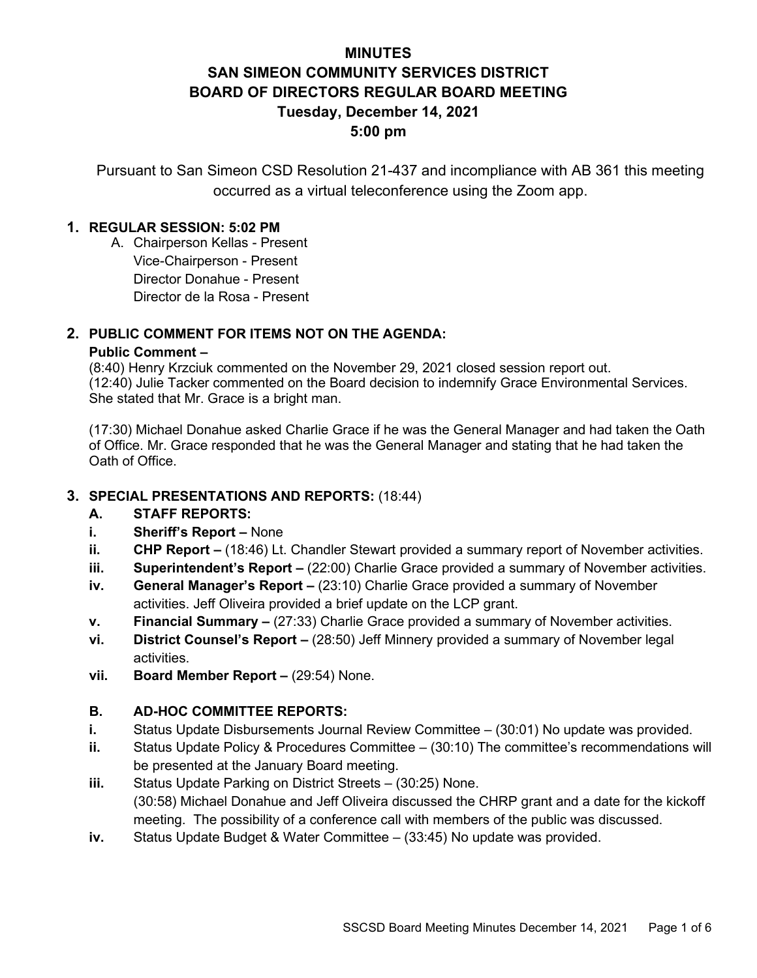# **MINUTES SAN SIMEON COMMUNITY SERVICES DISTRICT BOARD OF DIRECTORS REGULAR BOARD MEETING Tuesday, December 14, 2021 5:00 pm**

Pursuant to San Simeon CSD Resolution 21-437 and incompliance with AB 361 this meeting occurred as a virtual teleconference using the Zoom app.

## **1. REGULAR SESSION: 5:02 PM**

A. Chairperson Kellas - Present Vice-Chairperson - Present Director Donahue - Present Director de la Rosa - Present

## **2. PUBLIC COMMENT FOR ITEMS NOT ON THE AGENDA:**

### **Public Comment –**

(8:40) Henry Krzciuk commented on the November 29, 2021 closed session report out. (12:40) Julie Tacker commented on the Board decision to indemnify Grace Environmental Services. She stated that Mr. Grace is a bright man.

(17:30) Michael Donahue asked Charlie Grace if he was the General Manager and had taken the Oath of Office. Mr. Grace responded that he was the General Manager and stating that he had taken the Oath of Office.

## **3. SPECIAL PRESENTATIONS AND REPORTS:** (18:44)

## **A. STAFF REPORTS:**

- **i. Sheriff's Report –** None
- **ii. CHP Report –** (18:46) Lt. Chandler Stewart provided a summary report of November activities.
- **iii. Superintendent's Report –** (22:00) Charlie Grace provided a summary of November activities.
- **iv. General Manager's Report –** (23:10) Charlie Grace provided a summary of November activities. Jeff Oliveira provided a brief update on the LCP grant.
- **v. Financial Summary –** (27:33) Charlie Grace provided a summary of November activities.
- **vi. District Counsel's Report –** (28:50) Jeff Minnery provided a summary of November legal activities.
- **vii. Board Member Report –** (29:54) None.

## **B. AD-HOC COMMITTEE REPORTS:**

- **i.** Status Update Disbursements Journal Review Committee (30:01) No update was provided.
- **ii.** Status Update Policy & Procedures Committee (30:10) The committee's recommendations will be presented at the January Board meeting.
- **iii.** Status Update Parking on District Streets (30:25) None. (30:58) Michael Donahue and Jeff Oliveira discussed the CHRP grant and a date for the kickoff meeting. The possibility of a conference call with members of the public was discussed.
- **iv.** Status Update Budget & Water Committee (33:45) No update was provided.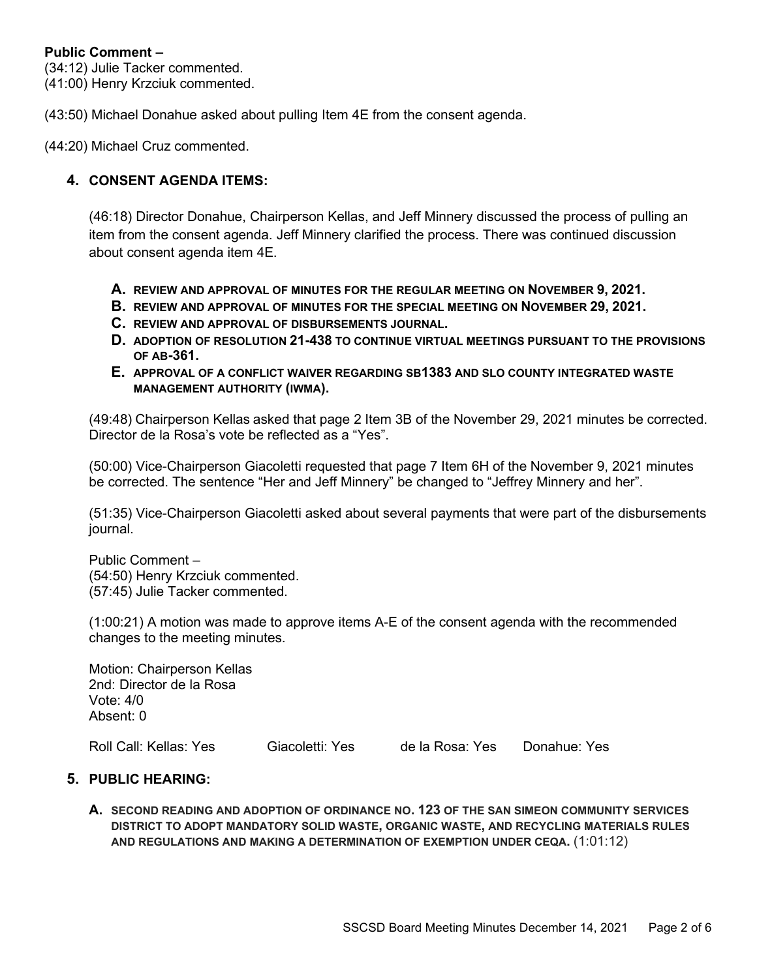## **Public Comment –**

(34:12) Julie Tacker commented. (41:00) Henry Krzciuk commented.

(43:50) Michael Donahue asked about pulling Item 4E from the consent agenda.

(44:20) Michael Cruz commented.

## **4. CONSENT AGENDA ITEMS:**

(46:18) Director Donahue, Chairperson Kellas, and Jeff Minnery discussed the process of pulling an item from the consent agenda. Jeff Minnery clarified the process. There was continued discussion about consent agenda item 4E.

- **A. REVIEW AND APPROVAL OF MINUTES FOR THE REGULAR MEETING ON NOVEMBER 9, 2021.**
- **B. REVIEW AND APPROVAL OF MINUTES FOR THE SPECIAL MEETING ON NOVEMBER 29, 2021.**
- **C. REVIEW AND APPROVAL OF DISBURSEMENTS JOURNAL.**
- **D. ADOPTION OF RESOLUTION 21-438 TO CONTINUE VIRTUAL MEETINGS PURSUANT TO THE PROVISIONS OF AB-361.**
- **E. APPROVAL OF A CONFLICT WAIVER REGARDING SB1383 AND SLO COUNTY INTEGRATED WASTE MANAGEMENT AUTHORITY (IWMA).**

(49:48) Chairperson Kellas asked that page 2 Item 3B of the November 29, 2021 minutes be corrected. Director de la Rosa's vote be reflected as a "Yes".

(50:00) Vice-Chairperson Giacoletti requested that page 7 Item 6H of the November 9, 2021 minutes be corrected. The sentence "Her and Jeff Minnery" be changed to "Jeffrey Minnery and her".

(51:35) Vice-Chairperson Giacoletti asked about several payments that were part of the disbursements journal.

Public Comment – (54:50) Henry Krzciuk commented. (57:45) Julie Tacker commented.

(1:00:21) A motion was made to approve items A-E of the consent agenda with the recommended changes to the meeting minutes.

Motion: Chairperson Kellas 2nd: Director de la Rosa Vote: 4/0 Absent: 0

Roll Call: Kellas: Yes Giacoletti: Yes de la Rosa: Yes Donahue: Yes

#### **5. PUBLIC HEARING:**

**A. SECOND READING AND ADOPTION OF ORDINANCE NO. 123 OF THE SAN SIMEON COMMUNITY SERVICES DISTRICT TO ADOPT MANDATORY SOLID WASTE, ORGANIC WASTE, AND RECYCLING MATERIALS RULES AND REGULATIONS AND MAKING A DETERMINATION OF EXEMPTION UNDER CEQA.** (1:01:12)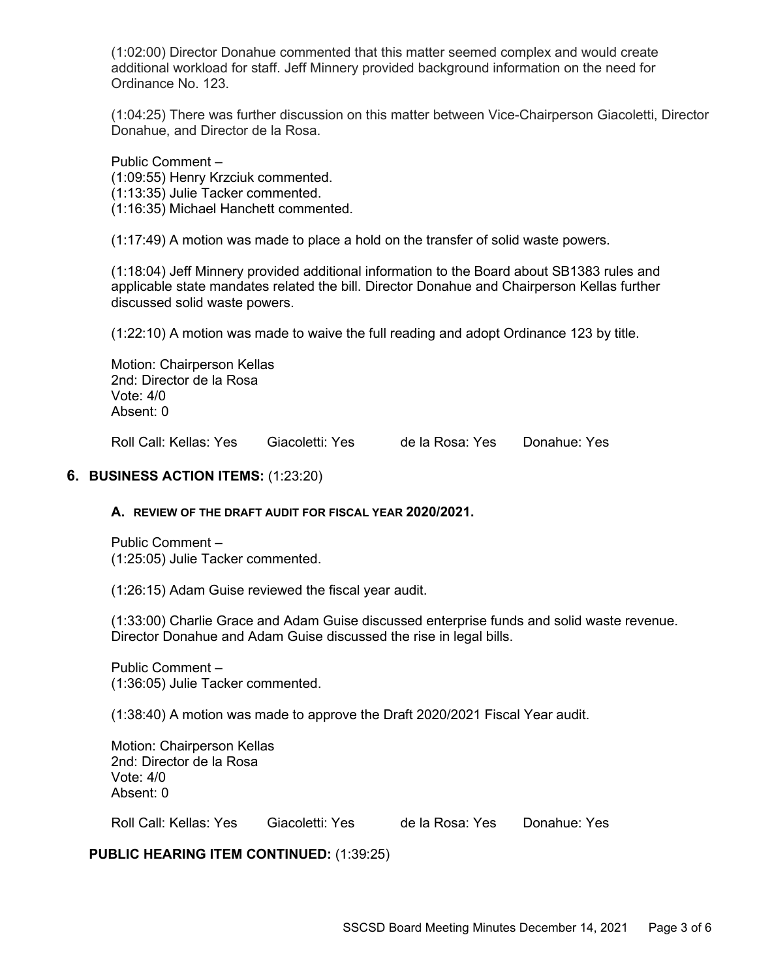(1:02:00) Director Donahue commented that this matter seemed complex and would create additional workload for staff. Jeff Minnery provided background information on the need for Ordinance No. 123.

(1:04:25) There was further discussion on this matter between Vice-Chairperson Giacoletti, Director Donahue, and Director de la Rosa.

Public Comment –

(1:09:55) Henry Krzciuk commented.

(1:13:35) Julie Tacker commented.

(1:16:35) Michael Hanchett commented.

(1:17:49) A motion was made to place a hold on the transfer of solid waste powers.

(1:18:04) Jeff Minnery provided additional information to the Board about SB1383 rules and applicable state mandates related the bill. Director Donahue and Chairperson Kellas further discussed solid waste powers.

(1:22:10) A motion was made to waive the full reading and adopt Ordinance 123 by title.

Motion: Chairperson Kellas 2nd: Director de la Rosa Vote: 4/0 Absent: 0

Roll Call: Kellas: Yes Giacoletti: Yes de la Rosa: Yes Donahue: Yes

## **6. BUSINESS ACTION ITEMS:** (1:23:20)

## **A. REVIEW OF THE DRAFT AUDIT FOR FISCAL YEAR 2020/2021.**

Public Comment – (1:25:05) Julie Tacker commented.

(1:26:15) Adam Guise reviewed the fiscal year audit.

(1:33:00) Charlie Grace and Adam Guise discussed enterprise funds and solid waste revenue. Director Donahue and Adam Guise discussed the rise in legal bills.

Public Comment – (1:36:05) Julie Tacker commented.

(1:38:40) A motion was made to approve the Draft 2020/2021 Fiscal Year audit.

Motion: Chairperson Kellas 2nd: Director de la Rosa Vote: 4/0 Absent: 0

Roll Call: Kellas: Yes Giacoletti: Yes de la Rosa: Yes Donahue: Yes

**PUBLIC HEARING ITEM CONTINUED:** (1:39:25)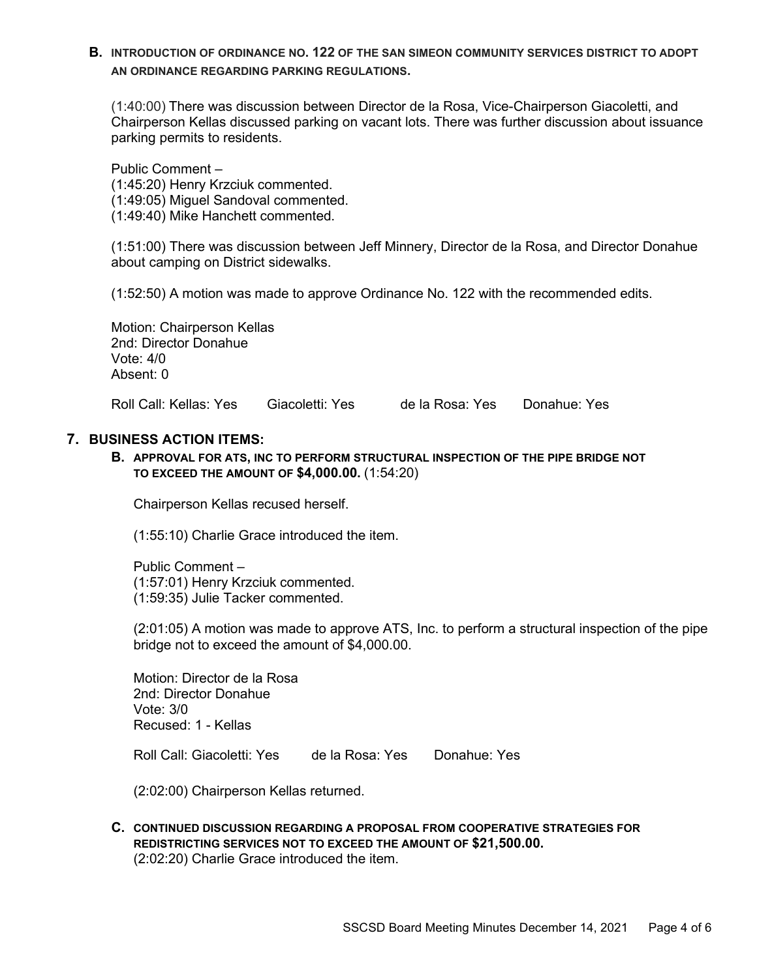**B. INTRODUCTION OF ORDINANCE NO. 122 OF THE SAN SIMEON COMMUNITY SERVICES DISTRICT TO ADOPT AN ORDINANCE REGARDING PARKING REGULATIONS.**

(1:40:00) There was discussion between Director de la Rosa, Vice-Chairperson Giacoletti, and Chairperson Kellas discussed parking on vacant lots. There was further discussion about issuance parking permits to residents.

Public Comment – (1:45:20) Henry Krzciuk commented. (1:49:05) Miguel Sandoval commented. (1:49:40) Mike Hanchett commented.

(1:51:00) There was discussion between Jeff Minnery, Director de la Rosa, and Director Donahue about camping on District sidewalks.

(1:52:50) A motion was made to approve Ordinance No. 122 with the recommended edits.

Motion: Chairperson Kellas 2nd: Director Donahue Vote: 4/0 Absent: 0

Roll Call: Kellas: Yes Giacoletti: Yes de la Rosa: Yes Donahue: Yes

#### **7. BUSINESS ACTION ITEMS:**

**B. APPROVAL FOR ATS, INC TO PERFORM STRUCTURAL INSPECTION OF THE PIPE BRIDGE NOT TO EXCEED THE AMOUNT OF \$4,000.00.** (1:54:20)

Chairperson Kellas recused herself.

(1:55:10) Charlie Grace introduced the item.

Public Comment – (1:57:01) Henry Krzciuk commented. (1:59:35) Julie Tacker commented.

(2:01:05) A motion was made to approve ATS, Inc. to perform a structural inspection of the pipe bridge not to exceed the amount of \$4,000.00.

Motion: Director de la Rosa 2nd: Director Donahue Vote: 3/0 Recused: 1 - Kellas

Roll Call: Giacoletti: Yes de la Rosa: Yes Donahue: Yes

(2:02:00) Chairperson Kellas returned.

**C. CONTINUED DISCUSSION REGARDING A PROPOSAL FROM COOPERATIVE STRATEGIES FOR REDISTRICTING SERVICES NOT TO EXCEED THE AMOUNT OF \$21,500.00.** (2:02:20) Charlie Grace introduced the item.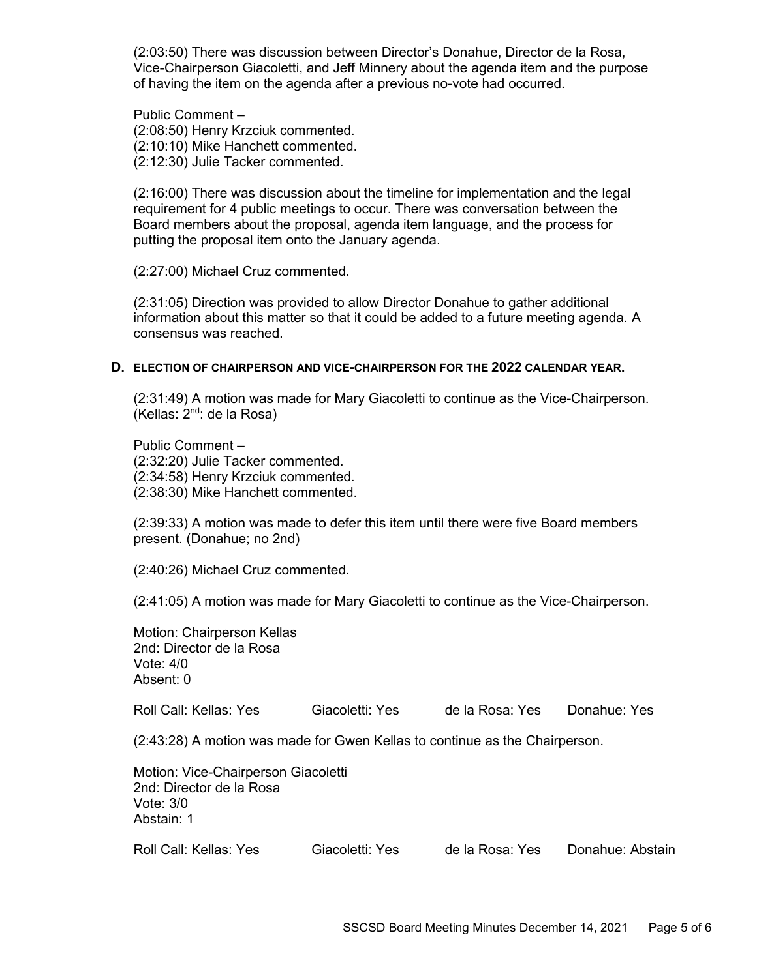(2:03:50) There was discussion between Director's Donahue, Director de la Rosa, Vice-Chairperson Giacoletti, and Jeff Minnery about the agenda item and the purpose of having the item on the agenda after a previous no-vote had occurred.

Public Comment – (2:08:50) Henry Krzciuk commented. (2:10:10) Mike Hanchett commented. (2:12:30) Julie Tacker commented.

(2:16:00) There was discussion about the timeline for implementation and the legal requirement for 4 public meetings to occur. There was conversation between the Board members about the proposal, agenda item language, and the process for putting the proposal item onto the January agenda.

(2:27:00) Michael Cruz commented.

(2:31:05) Direction was provided to allow Director Donahue to gather additional information about this matter so that it could be added to a future meeting agenda. A consensus was reached.

#### **D. ELECTION OF CHAIRPERSON AND VICE-CHAIRPERSON FOR THE 2022 CALENDAR YEAR.**

(2:31:49) A motion was made for Mary Giacoletti to continue as the Vice-Chairperson. (Kellas: 2nd: de la Rosa)

Public Comment – (2:32:20) Julie Tacker commented. (2:34:58) Henry Krzciuk commented. (2:38:30) Mike Hanchett commented.

(2:39:33) A motion was made to defer this item until there were five Board members present. (Donahue; no 2nd)

(2:40:26) Michael Cruz commented.

(2:41:05) A motion was made for Mary Giacoletti to continue as the Vice-Chairperson.

Motion: Chairperson Kellas 2nd: Director de la Rosa Vote: 4/0 Absent: 0

Roll Call: Kellas: Yes Giacoletti: Yes de la Rosa: Yes Donahue: Yes

(2:43:28) A motion was made for Gwen Kellas to continue as the Chairperson.

| Motion: Vice-Chairperson Giacoletti<br>2nd: Director de la Rosa |                 |                 |                  |
|-----------------------------------------------------------------|-----------------|-----------------|------------------|
| Vote: $3/0$<br>Abstain: 1                                       |                 |                 |                  |
| Roll Call: Kellas: Yes                                          | Giacoletti: Yes | de la Rosa: Yes | Donahue: Abstain |